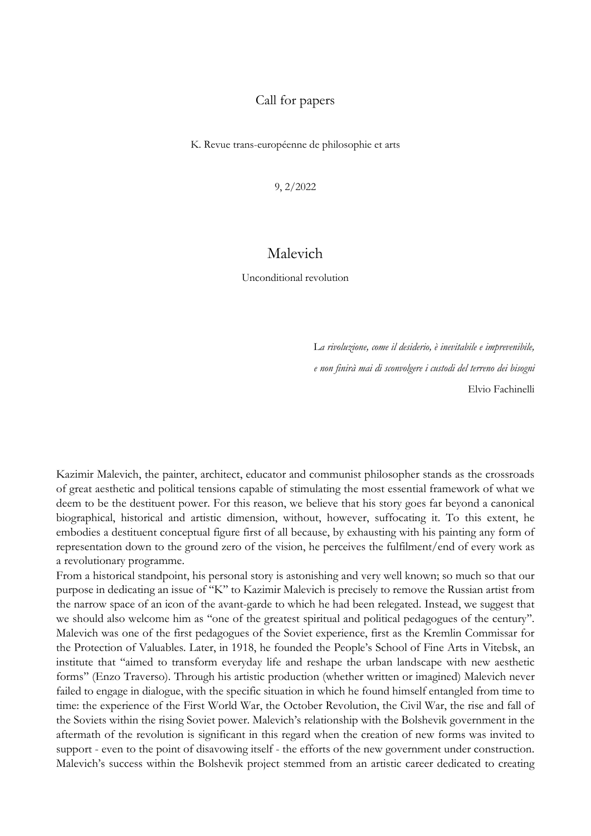## Call for papers

K. Revue trans-européenne de philosophie et arts

9, 2/2022

## Malevich

Unconditional revolution

L*a rivoluzione, come il desiderio, è inevitabile e imprevenibile, e non finirà mai di sconvolgere i custodi del terreno dei bisogni* Elvio Fachinelli

Kazimir Malevich, the painter, architect, educator and communist philosopher stands as the crossroads of great aesthetic and political tensions capable of stimulating the most essential framework of what we deem to be the destituent power. For this reason, we believe that his story goes far beyond a canonical biographical, historical and artistic dimension, without, however, suffocating it. To this extent, he embodies a destituent conceptual figure first of all because, by exhausting with his painting any form of representation down to the ground zero of the vision, he perceives the fulfilment/end of every work as a revolutionary programme.

From a historical standpoint, his personal story is astonishing and very well known; so much so that our purpose in dedicating an issue of ''K'' to Kazimir Malevich is precisely to remove the Russian artist from the narrow space of an icon of the avant-garde to which he had been relegated. Instead, we suggest that we should also welcome him as ''one of the greatest spiritual and political pedagogues of the century''. Malevich was one of the first pedagogues of the Soviet experience, first as the Kremlin Commissar for the Protection of Valuables. Later, in 1918, he founded the People's School of Fine Arts in Vitebsk, an institute that ''aimed to transform everyday life and reshape the urban landscape with new aesthetic forms'' (Enzo Traverso). Through his artistic production (whether written or imagined) Malevich never failed to engage in dialogue, with the specific situation in which he found himself entangled from time to time: the experience of the First World War, the October Revolution, the Civil War, the rise and fall of the Soviets within the rising Soviet power. Malevich's relationship with the Bolshevik government in the aftermath of the revolution is significant in this regard when the creation of new forms was invited to support - even to the point of disavowing itself - the efforts of the new government under construction. Malevich's success within the Bolshevik project stemmed from an artistic career dedicated to creating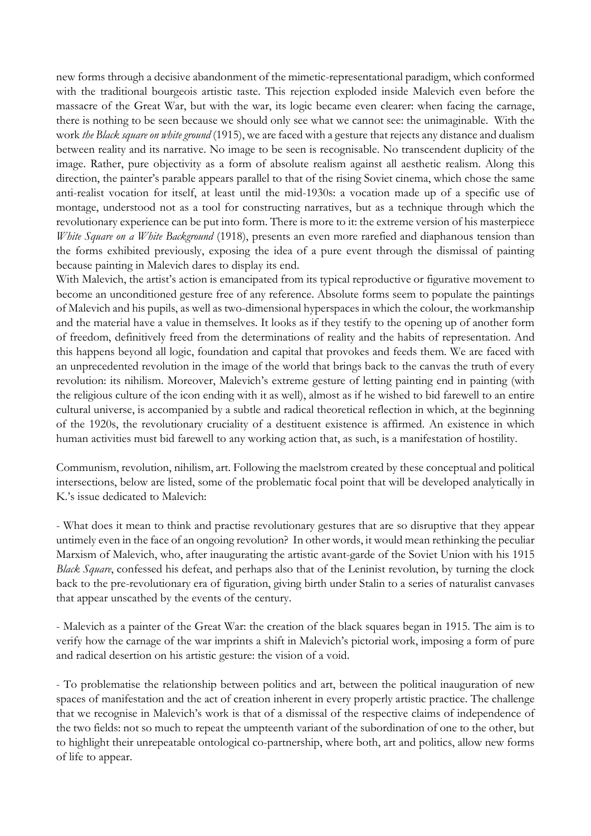new forms through a decisive abandonment of the mimetic-representational paradigm, which conformed with the traditional bourgeois artistic taste. This rejection exploded inside Malevich even before the massacre of the Great War, but with the war, its logic became even clearer: when facing the carnage, there is nothing to be seen because we should only see what we cannot see: the unimaginable. With the work *the Black square on white ground* (1915), we are faced with a gesture that rejects any distance and dualism between reality and its narrative. No image to be seen is recognisable. No transcendent duplicity of the image. Rather, pure objectivity as a form of absolute realism against all aesthetic realism. Along this direction, the painter's parable appears parallel to that of the rising Soviet cinema, which chose the same anti-realist vocation for itself, at least until the mid-1930s: a vocation made up of a specific use of montage, understood not as a tool for constructing narratives, but as a technique through which the revolutionary experience can be put into form. There is more to it: the extreme version of his masterpiece *White Square on a White Background* (1918), presents an even more rarefied and diaphanous tension than the forms exhibited previously, exposing the idea of a pure event through the dismissal of painting because painting in Malevich dares to display its end.

With Malevich, the artist's action is emancipated from its typical reproductive or figurative movement to become an unconditioned gesture free of any reference. Absolute forms seem to populate the paintings of Malevich and his pupils, as well as two-dimensional hyperspaces in which the colour, the workmanship and the material have a value in themselves. It looks as if they testify to the opening up of another form of freedom, definitively freed from the determinations of reality and the habits of representation. And this happens beyond all logic, foundation and capital that provokes and feeds them. We are faced with an unprecedented revolution in the image of the world that brings back to the canvas the truth of every revolution: its nihilism. Moreover, Malevich's extreme gesture of letting painting end in painting (with the religious culture of the icon ending with it as well), almost as if he wished to bid farewell to an entire cultural universe, is accompanied by a subtle and radical theoretical reflection in which, at the beginning of the 1920s, the revolutionary cruciality of a destituent existence is affirmed. An existence in which human activities must bid farewell to any working action that, as such, is a manifestation of hostility.

Communism, revolution, nihilism, art. Following the maelstrom created by these conceptual and political intersections, below are listed, some of the problematic focal point that will be developed analytically in K.'s issue dedicated to Malevich:

- What does it mean to think and practise revolutionary gestures that are so disruptive that they appear untimely even in the face of an ongoing revolution? In other words, it would mean rethinking the peculiar Marxism of Malevich, who, after inaugurating the artistic avant-garde of the Soviet Union with his 1915 *Black Square*, confessed his defeat, and perhaps also that of the Leninist revolution, by turning the clock back to the pre-revolutionary era of figuration, giving birth under Stalin to a series of naturalist canvases that appear unscathed by the events of the century.

- Malevich as a painter of the Great War: the creation of the black squares began in 1915. The aim is to verify how the carnage of the war imprints a shift in Malevich's pictorial work, imposing a form of pure and radical desertion on his artistic gesture: the vision of a void.

- To problematise the relationship between politics and art, between the political inauguration of new spaces of manifestation and the act of creation inherent in every properly artistic practice. The challenge that we recognise in Malevich's work is that of a dismissal of the respective claims of independence of the two fields: not so much to repeat the umpteenth variant of the subordination of one to the other, but to highlight their unrepeatable ontological co-partnership, where both, art and politics, allow new forms of life to appear.